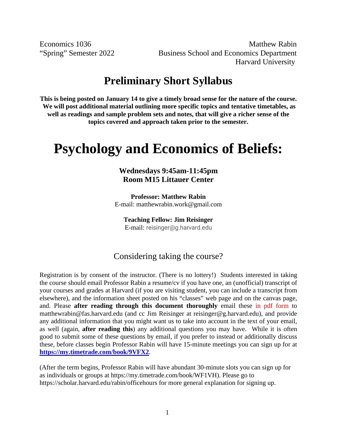Economics 1036 Matthew Rabin "Spring" Semester 2022 Business School and Economics Department Harvard University

## **Preliminary Short Syllabus**

**This is being posted on January 14 to give a timely broad sense for the nature of the course. We will post additional material outlining more specific topics and tentative timetables, as well as readings and sample problem sets and notes, that will give a richer sense of the topics covered and approach taken prior to the semester.**

# **Psychology and Economics of Beliefs:**

#### **Wednesdays 9:45am-11:45pm Room M15 Littauer Center**

**Professor: Matthew Rabin** E-mail: matthewrabin.work@gmail.com

**Teaching Fellow: Jim Reisinger** E-mail: reisinger@g.harvard.edu

#### Considering taking the course?

Registration is by consent of the instructor. (There is no lottery!) Students interested in taking the course should email Professor Rabin a resume/cv if you have one, an (unofficial) transcript of your courses and grades at Harvard (if you are visiting student, you can include a transcript from elsewhere), and the information sheet posted on his "classes" web page and on the canvas page, and. Please **after reading through this document thoroughly** email these in pdf form to [matthewrabin@fas.harvard.edu](mailto:matthewrabin@fas.harvard.edu) (and cc Jim Reisinger at reisinger@g.harvard.edu), and provide any additional information that you might want us to take into account in the text of your email, as well (again, **after reading this**) any additional questions you may have. While it is often good to submit some of these questions by email, if you prefer to instead or additionally discuss these, before classes begin Professor Rabin will have 15-minute meetings you can sign up for at **[https://my.timetrade.com/book/9VFX2](https://urldefense.proofpoint.com/v2/url?u=https-3A__my.timetrade.com_book_9VFX2&d=DwMFaQ&c=WO-RGvefibhHBZq3fL85hQ&r=PyBwAaViIScSIYjKF7f9NpHjvla5nmTUGKKKMS90y3c&m=ZtJwKrkSW5kQFR0RV2d1SdYa1FJbtHxL335sMW5rEmTglxVkeLkEG6Uzc8nQtGwR&s=n5fg4zMb9BbHm2RdgVyAKlC-6VXxJ_aO9UYO3tMOLkE&e=)**.

(After the term begins, Professor Rabin will have abundant 30-minute slots you can sign up for as individuals or groups at [https://my.timetrade.com/book/WF1VH\)](https://my.timetrade.com/book/WF1VH). Please go to <https://scholar.harvard.edu/rabin/officehours> for more general explanation for signing up.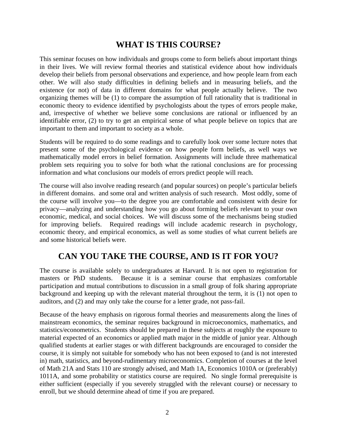### **WHAT IS THIS COURSE?**

This seminar focuses on how individuals and groups come to form beliefs about important things in their lives. We will review formal theories and statistical evidence about how individuals develop their beliefs from personal observations and experience, and how people learn from each other. We will also study difficulties in defining beliefs and in measuring beliefs, and the existence (or not) of data in different domains for what people actually believe. The two organizing themes will be (1) to compare the assumption of full rationality that is traditional in economic theory to evidence identified by psychologists about the types of errors people make, and, irrespective of whether we believe some conclusions are rational or influenced by an identifiable error, (2) to try to get an empirical sense of what people believe on topics that are important to them and important to society as a whole.

Students will be required to do some readings and to carefully look over some lecture notes that present some of the psychological evidence on how people form beliefs, as well ways we mathematically model errors in belief formation. Assignments will include three mathematical problem sets requiring you to solve for both what the rational conclusions are for processing information and what conclusions our models of errors predict people will reach.

The course will also involve reading research (and popular sources) on people's particular beliefs in different domains. and some oral and written analysis of such research. Most oddly, some of the course will involve you—to the degree you are comfortable and consistent with desire for privacy—analyzing and understanding how you go about forming beliefs relevant to your own economic, medical, and social choices. We will discuss some of the mechanisms being studied for improving beliefs. Required readings will include academic research in psychology, economic theory, and empirical economics, as well as some studies of what current beliefs are and some historical beliefs were.

#### **CAN YOU TAKE THE COURSE, AND IS IT FOR YOU?**

The course is available solely to undergraduates at Harvard. It is not open to registration for masters or PhD students. Because it is a seminar course that emphasizes comfortable participation and mutual contributions to discussion in a small group of folk sharing appropriate background and keeping up with the relevant material throughout the term, it is (1) not open to auditors, and (2) and may only take the course for a letter grade, not pass-fail.

Because of the heavy emphasis on rigorous formal theories and measurements along the lines of mainstream economics, the seminar requires background in microeconomics, mathematics, and statistics/econometrics. Students should be prepared in these subjects at roughly the exposure to material expected of an economics or applied math major in the middle of junior year. Although qualified students at earlier stages or with different backgrounds are encouraged to consider the course, it is simply not suitable for somebody who has not been exposed to (and is not interested in) math, statistics, and beyond-rudimentary microeconomics. Completion of courses at the level of Math 21A and Stats 110 are strongly advised, and Math 1A, Economics 1010A or (preferably) 1011A, and some probability or statistics course are required. No single formal prerequisite is either sufficient (especially if you severely struggled with the relevant course) or necessary to enroll, but we should determine ahead of time if you are prepared.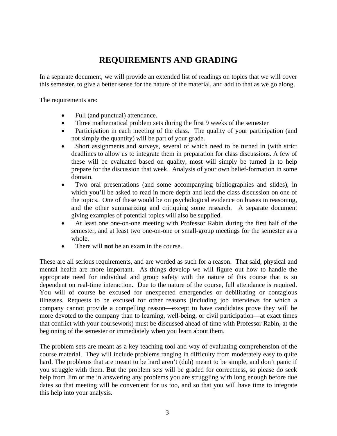## **REQUIREMENTS AND GRADING**

In a separate document, we will provide an extended list of readings on topics that we will cover this semester, to give a better sense for the nature of the material, and add to that as we go along.

The requirements are:

- Full (and punctual) attendance.
- Three mathematical problem sets during the first 9 weeks of the semester
- Participation in each meeting of the class. The quality of your participation (and not simply the quantity) will be part of your grade.
- Short assignments and surveys, several of which need to be turned in (with strict deadlines to allow us to integrate them in preparation for class discussions. A few of these will be evaluated based on quality, most will simply be turned in to help prepare for the discussion that week. Analysis of your own belief-formation in some domain.
- Two oral presentations (and some accompanying bibliographies and slides), in which you'll be asked to read in more depth and lead the class discussion on one of the topics. One of these would be on psychological evidence on biases in reasoning, and the other summarizing and critiquing some research. A separate document giving examples of potential topics will also be supplied.
- At least one one-on-one meeting with Professor Rabin during the first half of the semester, and at least two one-on-one or small-group meetings for the semester as a whole.
- There will **not** be an exam in the course.

These are all serious requirements, and are worded as such for a reason. That said, physical and mental health are more important. As things develop we will figure out how to handle the appropriate need for individual and group safety with the nature of this course that is so dependent on real-time interaction. Due to the nature of the course, full attendance is required. You will of course be excused for unexpected emergencies or debilitating or contagious illnesses. Requests to be excused for other reasons (including job interviews for which a company cannot provide a compelling reason—except to have candidates prove they will be more devoted to the company than to learning, well-being, or civil participation—at exact times that conflict with your coursework) must be discussed ahead of time with Professor Rabin, at the beginning of the semester or immediately when you learn about them.

The problem sets are meant as a key teaching tool and way of evaluating comprehension of the course material. They will include problems ranging in difficulty from moderately easy to quite hard. The problems that are meant to be hard aren't (duh) meant to be simple, and don't panic if you struggle with them. But the problem sets will be graded for correctness, so please do seek help from Jim or me in answering any problems you are struggling with long enough before due dates so that meeting will be convenient for us too, and so that you will have time to integrate this help into your analysis.